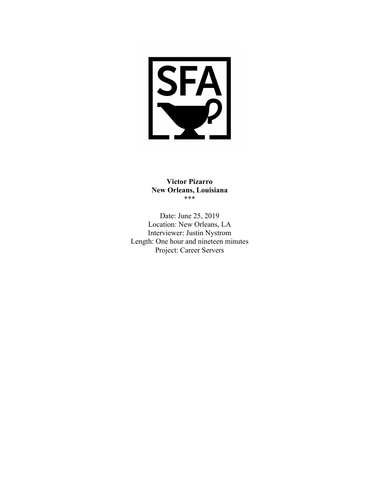

**Victor Pizarro New Orleans, Louisiana** \*\*\*

Date: June 25, 2019 Location: New Orleans, LA Interviewer: Justin Nystrom Length: One hour and nineteen minutes Project: Career Servers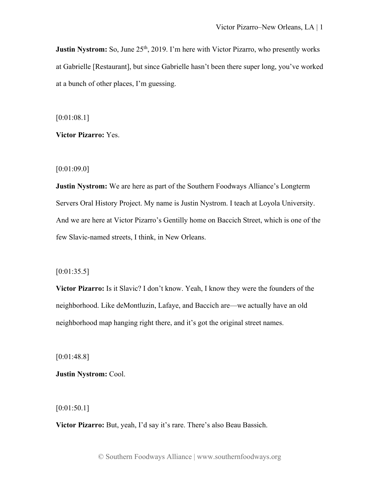**Justin Nystrom:** So, June 25<sup>th</sup>, 2019. I'm here with Victor Pizarro, who presently works at Gabrielle [Restaurant], but since Gabrielle hasn't been there super long, you've worked at a bunch of other places, I'm guessing.

[0:01:08.1]

**Victor Pizarro:** Yes.

[0:01:09.0]

**Justin Nystrom:** We are here as part of the Southern Foodways Alliance's Longterm Servers Oral History Project. My name is Justin Nystrom. I teach at Loyola University. And we are here at Victor Pizarro's Gentilly home on Baccich Street, which is one of the few Slavic-named streets, I think, in New Orleans.

# $[0:01:35.5]$

**Victor Pizarro:** Is it Slavic? I don't know. Yeah, I know they were the founders of the neighborhood. Like deMontluzin, Lafaye, and Baccich are—we actually have an old neighborhood map hanging right there, and it's got the original street names.

[0:01:48.8]

**Justin Nystrom:** Cool.

[0:01:50.1]

**Victor Pizarro:** But, yeah, I'd say it's rare. There's also Beau Bassich.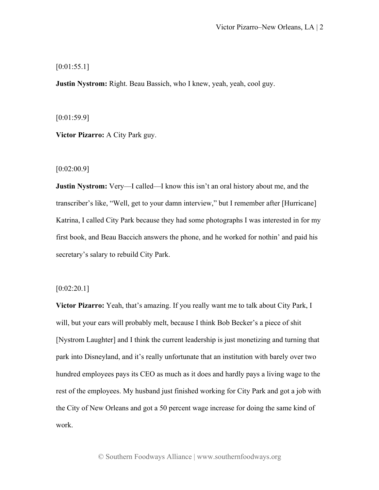$[0:01:55.1]$ 

**Justin Nystrom:** Right. Beau Bassich, who I knew, yeah, yeah, cool guy.

[0:01:59.9]

**Victor Pizarro:** A City Park guy.

[0:02:00.9]

**Justin Nystrom:** Very—I called—I know this isn't an oral history about me, and the transcriber's like, "Well, get to your damn interview," but I remember after [Hurricane] Katrina, I called City Park because they had some photographs I was interested in for my first book, and Beau Baccich answers the phone, and he worked for nothin' and paid his secretary's salary to rebuild City Park.

 $[0:02:20.1]$ 

**Victor Pizarro:** Yeah, that's amazing. If you really want me to talk about City Park, I will, but your ears will probably melt, because I think Bob Becker's a piece of shit [Nystrom Laughter] and I think the current leadership is just monetizing and turning that park into Disneyland, and it's really unfortunate that an institution with barely over two hundred employees pays its CEO as much as it does and hardly pays a living wage to the rest of the employees. My husband just finished working for City Park and got a job with the City of New Orleans and got a 50 percent wage increase for doing the same kind of work.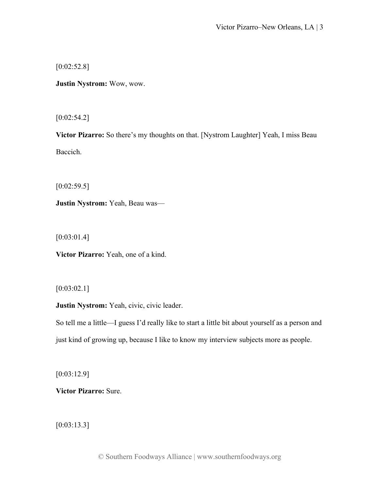[0:02:52.8]

**Justin Nystrom:** Wow, wow.

 $[0:02:54.2]$ 

**Victor Pizarro:** So there's my thoughts on that. [Nystrom Laughter] Yeah, I miss Beau Baccich.

 $[0:02:59.5]$ 

**Justin Nystrom:** Yeah, Beau was—

[0:03:01.4]

**Victor Pizarro:** Yeah, one of a kind.

[0:03:02.1]

**Justin Nystrom:** Yeah, civic, civic leader.

So tell me a little—I guess I'd really like to start a little bit about yourself as a person and just kind of growing up, because I like to know my interview subjects more as people.

[0:03:12.9]

**Victor Pizarro:** Sure.

[0:03:13.3]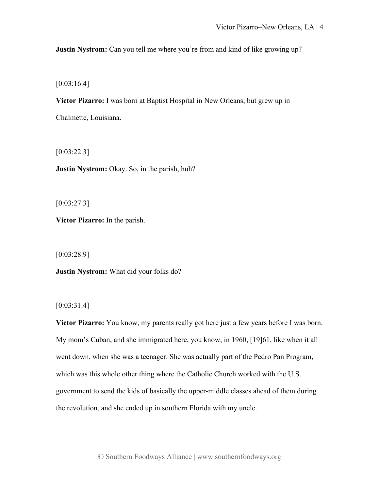**Justin Nystrom:** Can you tell me where you're from and kind of like growing up?

[0:03:16.4]

**Victor Pizarro:** I was born at Baptist Hospital in New Orleans, but grew up in

Chalmette, Louisiana.

[0:03:22.3]

**Justin Nystrom:** Okay. So, in the parish, huh?

 $[0:03:27.3]$ 

**Victor Pizarro:** In the parish.

[0:03:28.9]

**Justin Nystrom:** What did your folks do?

[0:03:31.4]

**Victor Pizarro:** You know, my parents really got here just a few years before I was born. My mom's Cuban, and she immigrated here, you know, in 1960, [19]61, like when it all went down, when she was a teenager. She was actually part of the Pedro Pan Program, which was this whole other thing where the Catholic Church worked with the U.S. government to send the kids of basically the upper-middle classes ahead of them during the revolution, and she ended up in southern Florida with my uncle.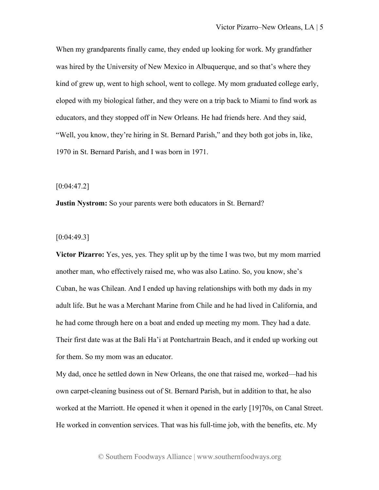When my grandparents finally came, they ended up looking for work. My grandfather was hired by the University of New Mexico in Albuquerque, and so that's where they kind of grew up, went to high school, went to college. My mom graduated college early, eloped with my biological father, and they were on a trip back to Miami to find work as educators, and they stopped off in New Orleans. He had friends here. And they said, "Well, you know, they're hiring in St. Bernard Parish," and they both got jobs in, like, 1970 in St. Bernard Parish, and I was born in 1971.

[0:04:47.2]

**Justin Nystrom:** So your parents were both educators in St. Bernard?

[0:04:49.3]

**Victor Pizarro:** Yes, yes, yes. They split up by the time I was two, but my mom married another man, who effectively raised me, who was also Latino. So, you know, she's Cuban, he was Chilean. And I ended up having relationships with both my dads in my adult life. But he was a Merchant Marine from Chile and he had lived in California, and he had come through here on a boat and ended up meeting my mom. They had a date. Their first date was at the Bali Ha'i at Pontchartrain Beach, and it ended up working out for them. So my mom was an educator.

My dad, once he settled down in New Orleans, the one that raised me, worked—had his own carpet-cleaning business out of St. Bernard Parish, but in addition to that, he also worked at the Marriott. He opened it when it opened in the early [19]70s, on Canal Street. He worked in convention services. That was his full-time job, with the benefits, etc. My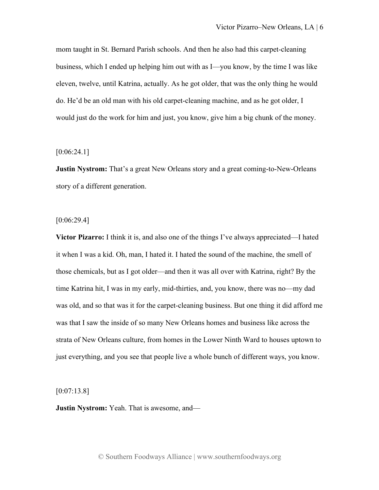mom taught in St. Bernard Parish schools. And then he also had this carpet-cleaning business, which I ended up helping him out with as I—you know, by the time I was like eleven, twelve, until Katrina, actually. As he got older, that was the only thing he would do. He'd be an old man with his old carpet-cleaning machine, and as he got older, I would just do the work for him and just, you know, give him a big chunk of the money.

# $[0:06:24.1]$

**Justin Nystrom:** That's a great New Orleans story and a great coming-to-New-Orleans story of a different generation.

#### $[0:06:29.4]$

**Victor Pizarro:** I think it is, and also one of the things I've always appreciated—I hated it when I was a kid. Oh, man, I hated it. I hated the sound of the machine, the smell of those chemicals, but as I got older—and then it was all over with Katrina, right? By the time Katrina hit, I was in my early, mid-thirties, and, you know, there was no—my dad was old, and so that was it for the carpet-cleaning business. But one thing it did afford me was that I saw the inside of so many New Orleans homes and business like across the strata of New Orleans culture, from homes in the Lower Ninth Ward to houses uptown to just everything, and you see that people live a whole bunch of different ways, you know.

[0:07:13.8]

**Justin Nystrom:** Yeah. That is awesome, and—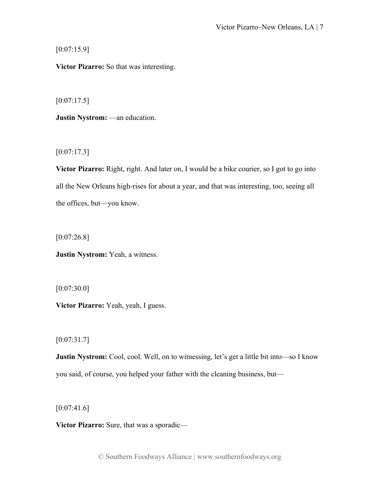$[0:07:15.9]$ 

**Victor Pizarro:** So that was interesting.

 $[0:07:17.5]$ 

**Justin Nystrom:** —an education.

 $[0:07:17.3]$ 

**Victor Pizarro:** Right, right. And later on, I would be a bike courier, so I got to go into all the New Orleans high-rises for about a year, and that was interesting, too, seeing all the offices, but—you know.

 $[0:07:26.8]$ 

**Justin Nystrom:** Yeah, a witness.

[0:07:30.0]

**Victor Pizarro:** Yeah, yeah, I guess.

 $[0:07:31.7]$ 

**Justin Nystrom:** Cool, cool. Well, on to witnessing, let's get a little bit into—so I know you said, of course, you helped your father with the cleaning business, but—

 $[0:07:41.6]$ 

**Victor Pizarro:** Sure, that was a sporadic—

© Southern Foodways Alliance | www.southernfoodways.org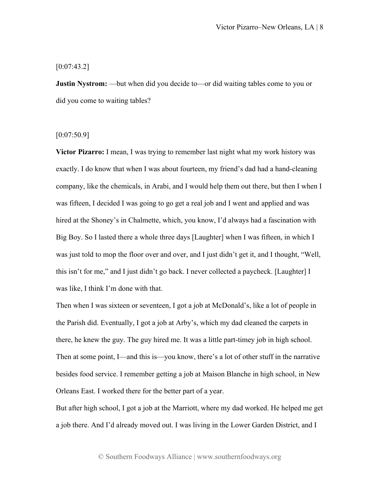## $[0:07:43.2]$

**Justin Nystrom:** —but when did you decide to—or did waiting tables come to you or did you come to waiting tables?

## [0:07:50.9]

**Victor Pizarro:** I mean, I was trying to remember last night what my work history was exactly. I do know that when I was about fourteen, my friend's dad had a hand-cleaning company, like the chemicals, in Arabi, and I would help them out there, but then I when I was fifteen, I decided I was going to go get a real job and I went and applied and was hired at the Shoney's in Chalmette, which, you know, I'd always had a fascination with Big Boy. So I lasted there a whole three days [Laughter] when I was fifteen, in which I was just told to mop the floor over and over, and I just didn't get it, and I thought, "Well, this isn't for me," and I just didn't go back. I never collected a paycheck. [Laughter] I was like, I think I'm done with that.

Then when I was sixteen or seventeen, I got a job at McDonald's, like a lot of people in the Parish did. Eventually, I got a job at Arby's, which my dad cleaned the carpets in there, he knew the guy. The guy hired me. It was a little part-timey job in high school. Then at some point, I—and this is—you know, there's a lot of other stuff in the narrative besides food service. I remember getting a job at Maison Blanche in high school, in New Orleans East. I worked there for the better part of a year.

But after high school, I got a job at the Marriott, where my dad worked. He helped me get a job there. And I'd already moved out. I was living in the Lower Garden District, and I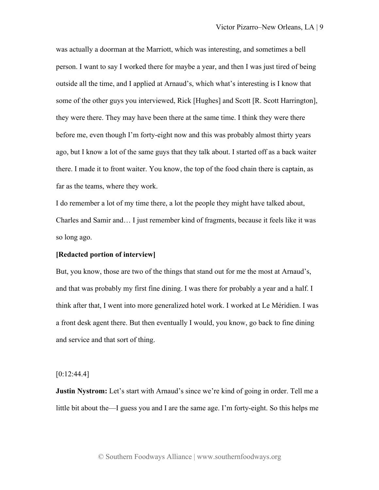was actually a doorman at the Marriott, which was interesting, and sometimes a bell person. I want to say I worked there for maybe a year, and then I was just tired of being outside all the time, and I applied at Arnaud's, which what's interesting is I know that some of the other guys you interviewed, Rick [Hughes] and Scott [R. Scott Harrington], they were there. They may have been there at the same time. I think they were there before me, even though I'm forty-eight now and this was probably almost thirty years ago, but I know a lot of the same guys that they talk about. I started off as a back waiter there. I made it to front waiter. You know, the top of the food chain there is captain, as far as the teams, where they work.

I do remember a lot of my time there, a lot the people they might have talked about, Charles and Samir and… I just remember kind of fragments, because it feels like it was so long ago.

#### **[Redacted portion of interview]**

But, you know, those are two of the things that stand out for me the most at Arnaud's, and that was probably my first fine dining. I was there for probably a year and a half. I think after that, I went into more generalized hotel work. I worked at Le Méridien. I was a front desk agent there. But then eventually I would, you know, go back to fine dining and service and that sort of thing.

## $[0:12:44.4]$

**Justin Nystrom:** Let's start with Arnaud's since we're kind of going in order. Tell me a little bit about the—I guess you and I are the same age. I'm forty-eight. So this helps me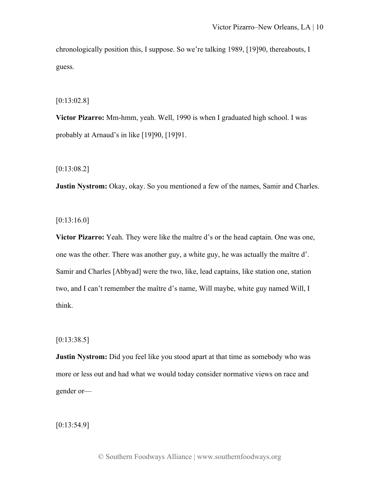chronologically position this, I suppose. So we're talking 1989, [19]90, thereabouts, I guess.

[0:13:02.8]

**Victor Pizarro:** Mm-hmm, yeah. Well, 1990 is when I graduated high school. I was probably at Arnaud's in like [19]90, [19]91.

[0:13:08.2]

**Justin Nystrom:** Okay, okay. So you mentioned a few of the names, Samir and Charles.

[0:13:16.0]

**Victor Pizarro:** Yeah. They were like the maître d's or the head captain. One was one, one was the other. There was another guy, a white guy, he was actually the maître d'. Samir and Charles [Abbyad] were the two, like, lead captains, like station one, station two, and I can't remember the maître d's name, Will maybe, white guy named Will, I think.

 $[0:13:38.5]$ 

**Justin Nystrom:** Did you feel like you stood apart at that time as somebody who was more or less out and had what we would today consider normative views on race and gender or—

[0:13:54.9]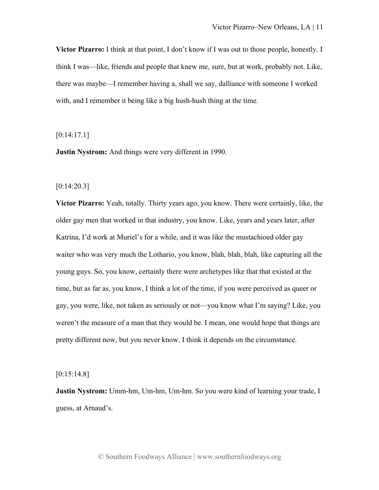**Victor Pizarro:** I think at that point, I don't know if I was out to those people, honestly. I think I was—like, friends and people that knew me, sure, but at work, probably not. Like, there was maybe—I remember having a, shall we say, dalliance with someone I worked with, and I remember it being like a big hush-hush thing at the time.

[0:14:17.1]

**Justin Nystrom:** And things were very different in 1990.

[0:14:20.3]

**Victor Pizarro:** Yeah, totally. Thirty years ago, you know. There were certainly, like, the older gay men that worked in that industry, you know. Like, years and years later, after Katrina, I'd work at Muriel's for a while, and it was like the mustachioed older gay waiter who was very much the Lothario, you know, blah, blah, blah, like capturing all the young guys. So, you know, certainly there were archetypes like that that existed at the time, but as far as, you know, I think a lot of the time, if you were perceived as queer or gay, you were, like, not taken as seriously or not—you know what I'm saying? Like, you weren't the measure of a man that they would be. I mean, one would hope that things are pretty different now, but you never know. I think it depends on the circumstance.

[0:15:14.8]

**Justin Nystrom:** Umm-hm, Um-hm, Um-hm. So you were kind of learning your trade, I guess, at Arnaud's.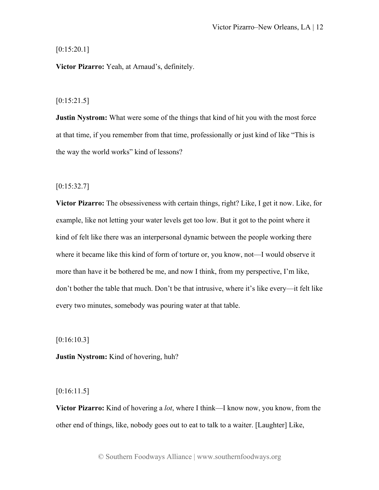# $[0:15:20.1]$

**Victor Pizarro:** Yeah, at Arnaud's, definitely.

# $[0:15:21.5]$

**Justin Nystrom:** What were some of the things that kind of hit you with the most force at that time, if you remember from that time, professionally or just kind of like "This is the way the world works" kind of lessons?

# $[0:15:32.7]$

**Victor Pizarro:** The obsessiveness with certain things, right? Like, I get it now. Like, for example, like not letting your water levels get too low. But it got to the point where it kind of felt like there was an interpersonal dynamic between the people working there where it became like this kind of form of torture or, you know, not—I would observe it more than have it be bothered be me, and now I think, from my perspective, I'm like, don't bother the table that much. Don't be that intrusive, where it's like every—it felt like every two minutes, somebody was pouring water at that table.

[0:16:10.3]

**Justin Nystrom:** Kind of hovering, huh?

[0:16:11.5]

**Victor Pizarro:** Kind of hovering a *lot*, where I think—I know now, you know, from the other end of things, like, nobody goes out to eat to talk to a waiter. [Laughter] Like,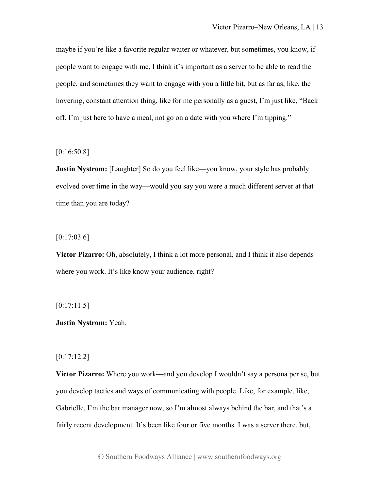maybe if you're like a favorite regular waiter or whatever, but sometimes, you know, if people want to engage with me, I think it's important as a server to be able to read the people, and sometimes they want to engage with you a little bit, but as far as, like, the hovering, constant attention thing, like for me personally as a guest, I'm just like, "Back off. I'm just here to have a meal, not go on a date with you where I'm tipping."

# [0:16:50.8]

**Justin Nystrom:** [Laughter] So do you feel like—you know, your style has probably evolved over time in the way—would you say you were a much different server at that time than you are today?

# $[0:17:03.6]$

**Victor Pizarro:** Oh, absolutely, I think a lot more personal, and I think it also depends where you work. It's like know your audience, right?

# $[0:17:11.5]$

# **Justin Nystrom:** Yeah.

# [0:17:12.2]

**Victor Pizarro:** Where you work—and you develop I wouldn't say a persona per se, but you develop tactics and ways of communicating with people. Like, for example, like, Gabrielle, I'm the bar manager now, so I'm almost always behind the bar, and that's a fairly recent development. It's been like four or five months. I was a server there, but,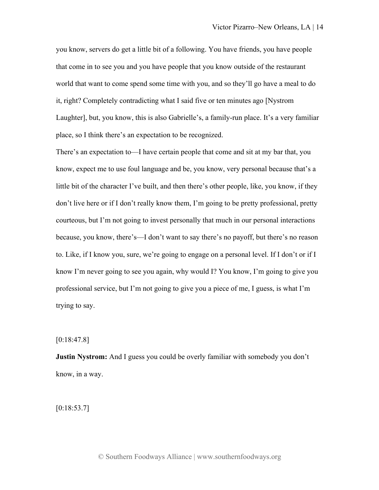you know, servers do get a little bit of a following. You have friends, you have people that come in to see you and you have people that you know outside of the restaurant world that want to come spend some time with you, and so they'll go have a meal to do it, right? Completely contradicting what I said five or ten minutes ago [Nystrom Laughter], but, you know, this is also Gabrielle's, a family-run place. It's a very familiar place, so I think there's an expectation to be recognized.

There's an expectation to—I have certain people that come and sit at my bar that, you know, expect me to use foul language and be, you know, very personal because that's a little bit of the character I've built, and then there's other people, like, you know, if they don't live here or if I don't really know them, I'm going to be pretty professional, pretty courteous, but I'm not going to invest personally that much in our personal interactions because, you know, there's—I don't want to say there's no payoff, but there's no reason to. Like, if I know you, sure, we're going to engage on a personal level. If I don't or if I know I'm never going to see you again, why would I? You know, I'm going to give you professional service, but I'm not going to give you a piece of me, I guess, is what I'm trying to say.

 $[0:18:47.8]$ 

**Justin Nystrom:** And I guess you could be overly familiar with somebody you don't know, in a way.

 $[0:18:53.7]$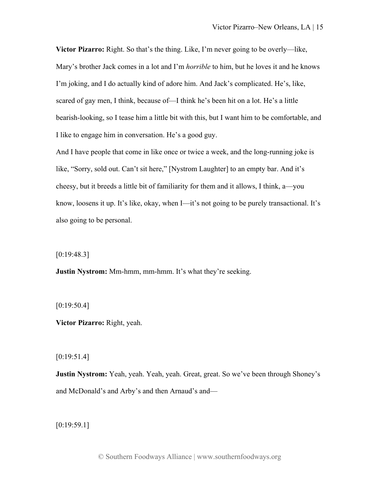**Victor Pizarro:** Right. So that's the thing. Like, I'm never going to be overly—like, Mary's brother Jack comes in a lot and I'm *horrible* to him, but he loves it and he knows I'm joking, and I do actually kind of adore him. And Jack's complicated. He's, like, scared of gay men, I think, because of—I think he's been hit on a lot. He's a little bearish-looking, so I tease him a little bit with this, but I want him to be comfortable, and I like to engage him in conversation. He's a good guy.

And I have people that come in like once or twice a week, and the long-running joke is like, "Sorry, sold out. Can't sit here," [Nystrom Laughter] to an empty bar. And it's cheesy, but it breeds a little bit of familiarity for them and it allows, I think, a—you know, loosens it up. It's like, okay, when I—it's not going to be purely transactional. It's also going to be personal.

[0:19:48.3]

**Justin Nystrom:** Mm-hmm, mm-hmm. It's what they're seeking.

[0:19:50.4]

**Victor Pizarro:** Right, yeah.

[0:19:51.4]

**Justin Nystrom:** Yeah, yeah. Yeah, yeah. Great, great. So we've been through Shoney's and McDonald's and Arby's and then Arnaud's and—

[0:19:59.1]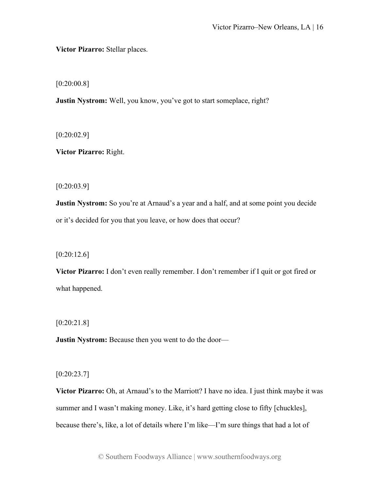**Victor Pizarro:** Stellar places.

[0:20:00.8]

**Justin Nystrom:** Well, you know, you've got to start someplace, right?

 $[0:20:02.9]$ 

**Victor Pizarro:** Right.

[0:20:03.9]

**Justin Nystrom:** So you're at Arnaud's a year and a half, and at some point you decide or it's decided for you that you leave, or how does that occur?

[0:20:12.6]

**Victor Pizarro:** I don't even really remember. I don't remember if I quit or got fired or what happened.

[0:20:21.8]

**Justin Nystrom:** Because then you went to do the door—

[0:20:23.7]

**Victor Pizarro:** Oh, at Arnaud's to the Marriott? I have no idea. I just think maybe it was summer and I wasn't making money. Like, it's hard getting close to fifty [chuckles], because there's, like, a lot of details where I'm like—I'm sure things that had a lot of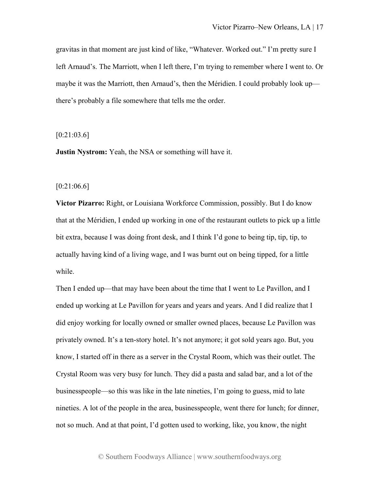gravitas in that moment are just kind of like, "Whatever. Worked out." I'm pretty sure I left Arnaud's. The Marriott, when I left there, I'm trying to remember where I went to. Or maybe it was the Marriott, then Arnaud's, then the Méridien. I could probably look up there's probably a file somewhere that tells me the order.

[0:21:03.6]

**Justin Nystrom:** Yeah, the NSA or something will have it.

[0:21:06.6]

**Victor Pizarro:** Right, or Louisiana Workforce Commission, possibly. But I do know that at the Méridien, I ended up working in one of the restaurant outlets to pick up a little bit extra, because I was doing front desk, and I think I'd gone to being tip, tip, tip, to actually having kind of a living wage, and I was burnt out on being tipped, for a little while.

Then I ended up—that may have been about the time that I went to Le Pavillon, and I ended up working at Le Pavillon for years and years and years. And I did realize that I did enjoy working for locally owned or smaller owned places, because Le Pavillon was privately owned. It's a ten-story hotel. It's not anymore; it got sold years ago. But, you know, I started off in there as a server in the Crystal Room, which was their outlet. The Crystal Room was very busy for lunch. They did a pasta and salad bar, and a lot of the businesspeople—so this was like in the late nineties, I'm going to guess, mid to late nineties. A lot of the people in the area, businesspeople, went there for lunch; for dinner, not so much. And at that point, I'd gotten used to working, like, you know, the night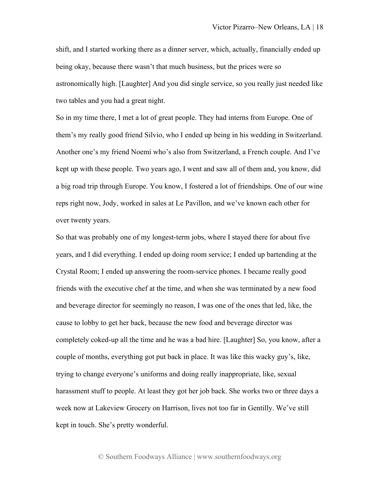shift, and I started working there as a dinner server, which, actually, financially ended up being okay, because there wasn't that much business, but the prices were so astronomically high. [Laughter] And you did single service, so you really just needed like two tables and you had a great night.

So in my time there, I met a lot of great people. They had interns from Europe. One of them's my really good friend Silvio, who I ended up being in his wedding in Switzerland. Another one's my friend Noemi who's also from Switzerland, a French couple. And I've kept up with these people. Two years ago, I went and saw all of them and, you know, did a big road trip through Europe. You know, I fostered a lot of friendships. One of our wine reps right now, Jody, worked in sales at Le Pavillon, and we've known each other for over twenty years.

So that was probably one of my longest-term jobs, where I stayed there for about five years, and I did everything. I ended up doing room service; I ended up bartending at the Crystal Room; I ended up answering the room-service phones. I became really good friends with the executive chef at the time, and when she was terminated by a new food and beverage director for seemingly no reason, I was one of the ones that led, like, the cause to lobby to get her back, because the new food and beverage director was completely coked-up all the time and he was a bad hire. [Laughter] So, you know, after a couple of months, everything got put back in place. It was like this wacky guy's, like, trying to change everyone's uniforms and doing really inappropriate, like, sexual harassment stuff to people. At least they got her job back. She works two or three days a week now at Lakeview Grocery on Harrison, lives not too far in Gentilly. We've still kept in touch. She's pretty wonderful.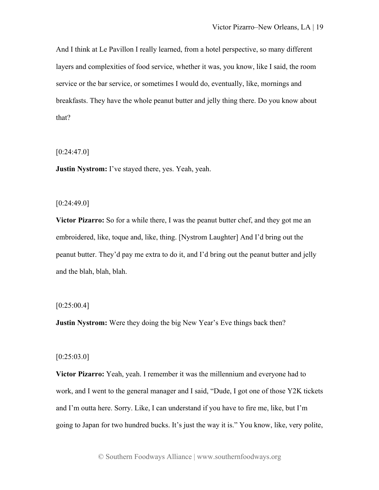And I think at Le Pavillon I really learned, from a hotel perspective, so many different layers and complexities of food service, whether it was, you know, like I said, the room service or the bar service, or sometimes I would do, eventually, like, mornings and breakfasts. They have the whole peanut butter and jelly thing there. Do you know about that?

 $[0:24:47.0]$ 

**Justin Nystrom:** I've stayed there, yes. Yeah, yeah.

 $[0:24:49.0]$ 

**Victor Pizarro:** So for a while there, I was the peanut butter chef, and they got me an embroidered, like, toque and, like, thing. [Nystrom Laughter] And I'd bring out the peanut butter. They'd pay me extra to do it, and I'd bring out the peanut butter and jelly and the blah, blah, blah.

# $[0:25:00.4]$

**Justin Nystrom:** Were they doing the big New Year's Eve things back then?

# [0:25:03.0]

**Victor Pizarro:** Yeah, yeah. I remember it was the millennium and everyone had to work, and I went to the general manager and I said, "Dude, I got one of those Y2K tickets and I'm outta here. Sorry. Like, I can understand if you have to fire me, like, but I'm going to Japan for two hundred bucks. It's just the way it is." You know, like, very polite,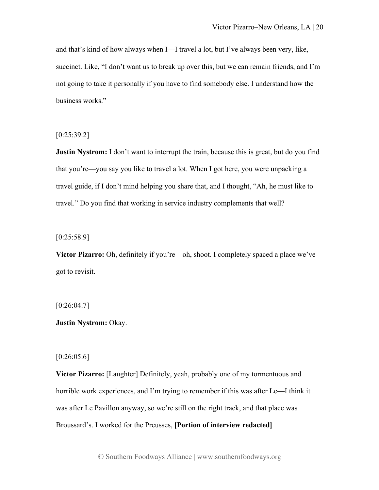and that's kind of how always when I—I travel a lot, but I've always been very, like, succinct. Like, "I don't want us to break up over this, but we can remain friends, and I'm not going to take it personally if you have to find somebody else. I understand how the business works."

 $[0:25:39.2]$ 

**Justin Nystrom:** I don't want to interrupt the train, because this is great, but do you find that you're—you say you like to travel a lot. When I got here, you were unpacking a travel guide, if I don't mind helping you share that, and I thought, "Ah, he must like to travel." Do you find that working in service industry complements that well?

 $[0:25:58.9]$ 

**Victor Pizarro:** Oh, definitely if you're—oh, shoot. I completely spaced a place we've got to revisit.

 $[0:26:04.7]$ 

**Justin Nystrom:** Okay.

[0:26:05.6]

**Victor Pizarro:** [Laughter] Definitely, yeah, probably one of my tormentuous and horrible work experiences, and I'm trying to remember if this was after Le—I think it was after Le Pavillon anyway, so we're still on the right track, and that place was Broussard's. I worked for the Preusses, **[Portion of interview redacted]**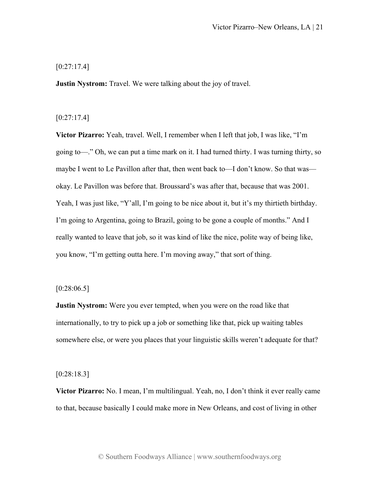# [0:27:17.4]

**Justin Nystrom:** Travel. We were talking about the joy of travel.

# $[0:27:17.4]$

**Victor Pizarro:** Yeah, travel. Well, I remember when I left that job, I was like, "I'm going to—." Oh, we can put a time mark on it. I had turned thirty. I was turning thirty, so maybe I went to Le Pavillon after that, then went back to—I don't know. So that was okay. Le Pavillon was before that. Broussard's was after that, because that was 2001. Yeah, I was just like, "Y'all, I'm going to be nice about it, but it's my thirtieth birthday. I'm going to Argentina, going to Brazil, going to be gone a couple of months." And I really wanted to leave that job, so it was kind of like the nice, polite way of being like, you know, "I'm getting outta here. I'm moving away," that sort of thing.

# $[0:28:06.5]$

**Justin Nystrom:** Were you ever tempted, when you were on the road like that internationally, to try to pick up a job or something like that, pick up waiting tables somewhere else, or were you places that your linguistic skills weren't adequate for that?

# [0:28:18.3]

**Victor Pizarro:** No. I mean, I'm multilingual. Yeah, no, I don't think it ever really came to that, because basically I could make more in New Orleans, and cost of living in other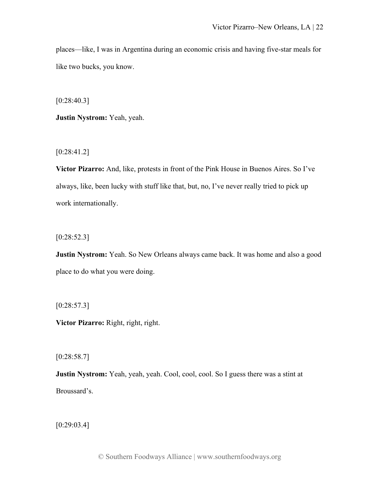places—like, I was in Argentina during an economic crisis and having five-star meals for like two bucks, you know.

[0:28:40.3]

**Justin Nystrom:** Yeah, yeah.

[0:28:41.2]

**Victor Pizarro:** And, like, protests in front of the Pink House in Buenos Aires. So I've always, like, been lucky with stuff like that, but, no, I've never really tried to pick up work internationally.

[0:28:52.3]

**Justin Nystrom:** Yeah. So New Orleans always came back. It was home and also a good place to do what you were doing.

 $[0:28:57.3]$ 

**Victor Pizarro:** Right, right, right.

 $[0:28:58.7]$ 

**Justin Nystrom:** Yeah, yeah, yeah. Cool, cool, cool. So I guess there was a stint at Broussard's.

[0:29:03.4]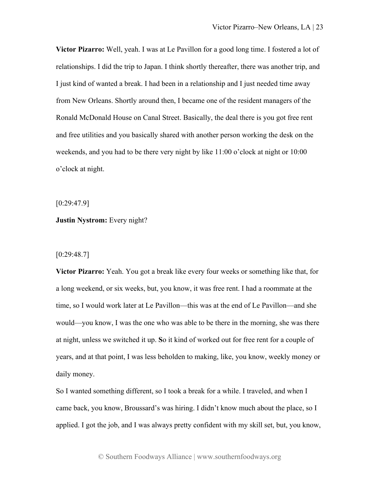**Victor Pizarro:** Well, yeah. I was at Le Pavillon for a good long time. I fostered a lot of relationships. I did the trip to Japan. I think shortly thereafter, there was another trip, and I just kind of wanted a break. I had been in a relationship and I just needed time away from New Orleans. Shortly around then, I became one of the resident managers of the Ronald McDonald House on Canal Street. Basically, the deal there is you got free rent and free utilities and you basically shared with another person working the desk on the weekends, and you had to be there very night by like 11:00 o'clock at night or 10:00 o'clock at night.

[0:29:47.9]

# **Justin Nystrom:** Every night?

## [0:29:48.7]

**Victor Pizarro:** Yeah. You got a break like every four weeks or something like that, for a long weekend, or six weeks, but, you know, it was free rent. I had a roommate at the time, so I would work later at Le Pavillon—this was at the end of Le Pavillon—and she would—you know, I was the one who was able to be there in the morning, she was there at night, unless we switched it up. **S**o it kind of worked out for free rent for a couple of years, and at that point, I was less beholden to making, like, you know, weekly money or daily money.

So I wanted something different, so I took a break for a while. I traveled, and when I came back, you know, Broussard's was hiring. I didn't know much about the place, so I applied. I got the job, and I was always pretty confident with my skill set, but, you know,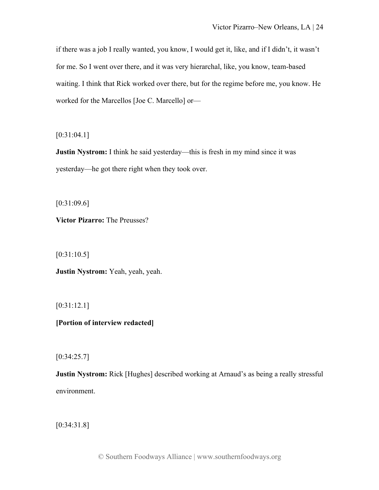if there was a job I really wanted, you know, I would get it, like, and if I didn't, it wasn't for me. So I went over there, and it was very hierarchal, like, you know, team-based waiting. I think that Rick worked over there, but for the regime before me, you know. He worked for the Marcellos [Joe C. Marcello] or—

[0:31:04.1]

**Justin Nystrom:** I think he said yesterday—this is fresh in my mind since it was yesterday—he got there right when they took over.

[0:31:09.6]

**Victor Pizarro:** The Preusses?

[0:31:10.5]

**Justin Nystrom:** Yeah, yeah, yeah.

[0:31:12.1]

**[Portion of interview redacted]**

 $[0:34:25.7]$ 

**Justin Nystrom:** Rick [Hughes] described working at Arnaud's as being a really stressful environment.

[0:34:31.8]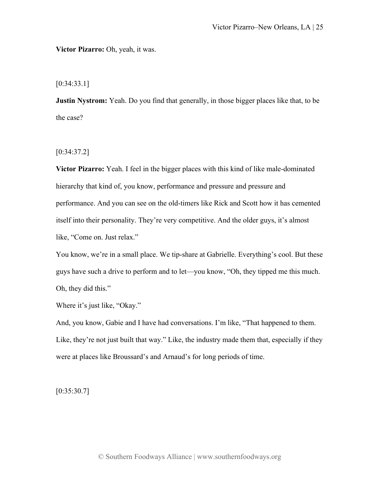**Victor Pizarro:** Oh, yeah, it was.

[0:34:33.1]

**Justin Nystrom:** Yeah. Do you find that generally, in those bigger places like that, to be the case?

[0:34:37.2]

**Victor Pizarro:** Yeah. I feel in the bigger places with this kind of like male-dominated hierarchy that kind of, you know, performance and pressure and pressure and performance. And you can see on the old-timers like Rick and Scott how it has cemented itself into their personality. They're very competitive. And the older guys, it's almost like, "Come on. Just relax."

You know, we're in a small place. We tip-share at Gabrielle. Everything's cool. But these guys have such a drive to perform and to let—you know, "Oh, they tipped me this much. Oh, they did this."

Where it's just like, "Okay."

And, you know, Gabie and I have had conversations. I'm like, "That happened to them. Like, they're not just built that way." Like, the industry made them that, especially if they were at places like Broussard's and Arnaud's for long periods of time.

 $[0:35:30.7]$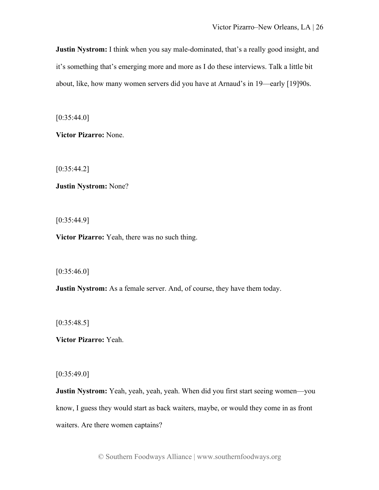**Justin Nystrom:** I think when you say male-dominated, that's a really good insight, and it's something that's emerging more and more as I do these interviews. Talk a little bit about, like, how many women servers did you have at Arnaud's in 19—early [19]90s.

 $[0:35:44.0]$ 

**Victor Pizarro:** None.

[0:35:44.2]

**Justin Nystrom:** None?

[0:35:44.9]

**Victor Pizarro:** Yeah, there was no such thing.

 $[0:35:46.0]$ 

**Justin Nystrom:** As a female server. And, of course, they have them today.

 $[0:35:48.5]$ 

**Victor Pizarro:** Yeah.

 $[0:35:49.0]$ 

**Justin Nystrom:** Yeah, yeah, yeah, yeah. When did you first start seeing women—you know, I guess they would start as back waiters, maybe, or would they come in as front waiters. Are there women captains?

© Southern Foodways Alliance | www.southernfoodways.org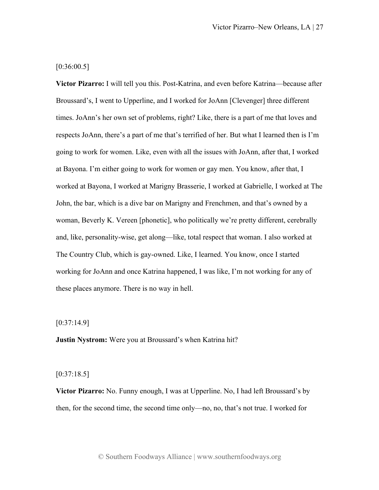# [0:36:00.5]

**Victor Pizarro:** I will tell you this. Post-Katrina, and even before Katrina—because after Broussard's, I went to Upperline, and I worked for JoAnn [Clevenger] three different times. JoAnn's her own set of problems, right? Like, there is a part of me that loves and respects JoAnn, there's a part of me that's terrified of her. But what I learned then is I'm going to work for women. Like, even with all the issues with JoAnn, after that, I worked at Bayona. I'm either going to work for women or gay men. You know, after that, I worked at Bayona, I worked at Marigny Brasserie, I worked at Gabrielle, I worked at The John, the bar, which is a dive bar on Marigny and Frenchmen, and that's owned by a woman, Beverly K. Vereen [phonetic], who politically we're pretty different, cerebrally and, like, personality-wise, get along—like, total respect that woman. I also worked at The Country Club, which is gay-owned. Like, I learned. You know, once I started working for JoAnn and once Katrina happened, I was like, I'm not working for any of these places anymore. There is no way in hell.

## $[0:37:14.9]$

**Justin Nystrom:** Were you at Broussard's when Katrina hit?

# $[0:37:18.5]$

**Victor Pizarro:** No. Funny enough, I was at Upperline. No, I had left Broussard's by then, for the second time, the second time only—no, no, that's not true. I worked for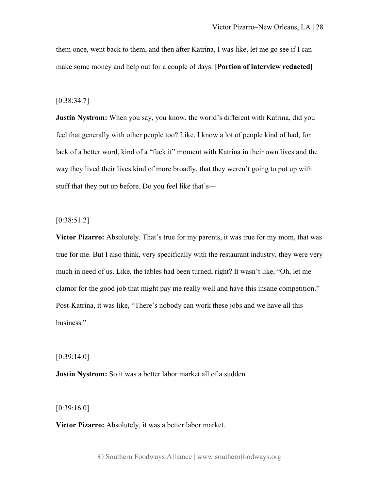them once, went back to them, and then after Katrina, I was like, let me go see if I can make some money and help out for a couple of days. **[Portion of interview redacted]**

#### [0:38:34.7]

**Justin Nystrom:** When you say, you know, the world's different with Katrina, did you feel that generally with other people too? Like, I know a lot of people kind of had, for lack of a better word, kind of a "fuck it" moment with Katrina in their own lives and the way they lived their lives kind of more broadly, that they weren't going to put up with stuff that they put up before. Do you feel like that's—

[0:38:51.2]

**Victor Pizarro:** Absolutely. That's true for my parents, it was true for my mom, that was true for me. But I also think, very specifically with the restaurant industry, they were very much in need of us. Like, the tables had been turned, right? It wasn't like, "Oh, let me clamor for the good job that might pay me really well and have this insane competition." Post-Katrina, it was like, "There's nobody can work these jobs and we have all this business."

[0:39:14.0]

**Justin Nystrom:** So it was a better labor market all of a sudden.

[0:39:16.0]

**Victor Pizarro:** Absolutely, it was a better labor market.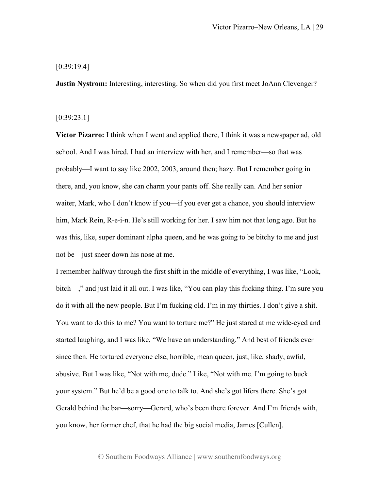## [0:39:19.4]

**Justin Nystrom:** Interesting, interesting. So when did you first meet JoAnn Clevenger?

## [0:39:23.1]

**Victor Pizarro:** I think when I went and applied there, I think it was a newspaper ad, old school. And I was hired. I had an interview with her, and I remember—so that was probably—I want to say like 2002, 2003, around then; hazy. But I remember going in there, and, you know, she can charm your pants off. She really can. And her senior waiter, Mark, who I don't know if you—if you ever get a chance, you should interview him, Mark Rein, R-e-i-n. He's still working for her. I saw him not that long ago. But he was this, like, super dominant alpha queen, and he was going to be bitchy to me and just not be—just sneer down his nose at me.

I remember halfway through the first shift in the middle of everything, I was like, "Look, bitch—," and just laid it all out. I was like, "You can play this fucking thing. I'm sure you do it with all the new people. But I'm fucking old. I'm in my thirties. I don't give a shit. You want to do this to me? You want to torture me?" He just stared at me wide-eyed and started laughing, and I was like, "We have an understanding." And best of friends ever since then. He tortured everyone else, horrible, mean queen, just, like, shady, awful, abusive. But I was like, "Not with me, dude." Like, "Not with me. I'm going to buck your system." But he'd be a good one to talk to. And she's got lifers there. She's got Gerald behind the bar—sorry—Gerard, who's been there forever. And I'm friends with, you know, her former chef, that he had the big social media, James [Cullen].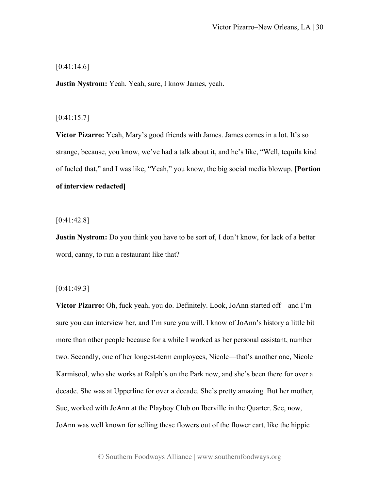## $[0:41:14.6]$

**Justin Nystrom:** Yeah. Yeah, sure, I know James, yeah.

## $[0:41:15.7]$

**Victor Pizarro:** Yeah, Mary's good friends with James. James comes in a lot. It's so strange, because, you know, we've had a talk about it, and he's like, "Well, tequila kind of fueled that," and I was like, "Yeah," you know, the big social media blowup. **[Portion of interview redacted]**

 $[0:41:42.8]$ 

**Justin Nystrom:** Do you think you have to be sort of, I don't know, for lack of a better word, canny, to run a restaurant like that?

## [0:41:49.3]

**Victor Pizarro:** Oh, fuck yeah, you do. Definitely. Look, JoAnn started off—and I'm sure you can interview her, and I'm sure you will. I know of JoAnn's history a little bit more than other people because for a while I worked as her personal assistant, number two. Secondly, one of her longest-term employees, Nicole—that's another one, Nicole Karmisool, who she works at Ralph's on the Park now, and she's been there for over a decade. She was at Upperline for over a decade. She's pretty amazing. But her mother, Sue, worked with JoAnn at the Playboy Club on Iberville in the Quarter. See, now, JoAnn was well known for selling these flowers out of the flower cart, like the hippie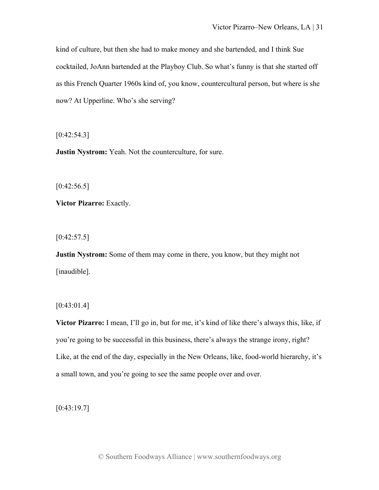kind of culture, but then she had to make money and she bartended, and I think Sue cocktailed, JoAnn bartended at the Playboy Club. So what's funny is that she started off as this French Quarter 1960s kind of, you know, countercultural person, but where is she now? At Upperline. Who's she serving?

 $[0:42:54.3]$ 

**Justin Nystrom:** Yeah. Not the counterculture, for sure.

 $[0:42:56.5]$ 

**Victor Pizarro:** Exactly.

 $[0:42:57.5]$ 

**Justin Nystrom:** Some of them may come in there, you know, but they might not [inaudible].

 $[0:43:01.4]$ 

**Victor Pizarro:** I mean, I'll go in, but for me, it's kind of like there's always this, like, if you're going to be successful in this business, there's always the strange irony, right? Like, at the end of the day, especially in the New Orleans, like, food-world hierarchy, it's a small town, and you're going to see the same people over and over.

 $[0:43:19.7]$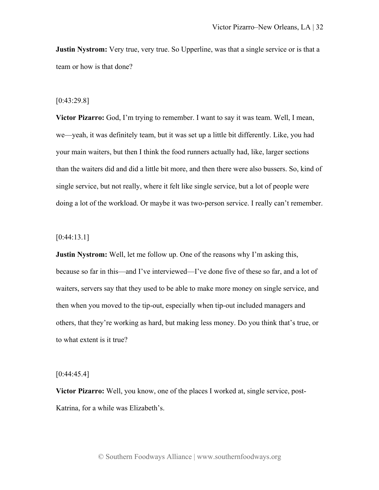**Justin Nystrom:** Very true, very true. So Upperline, was that a single service or is that a team or how is that done?

## [0:43:29.8]

**Victor Pizarro:** God, I'm trying to remember. I want to say it was team. Well, I mean, we—yeah, it was definitely team, but it was set up a little bit differently. Like, you had your main waiters, but then I think the food runners actually had, like, larger sections than the waiters did and did a little bit more, and then there were also bussers. So, kind of single service, but not really, where it felt like single service, but a lot of people were doing a lot of the workload. Or maybe it was two-person service. I really can't remember.

## $[0:44:13.1]$

**Justin Nystrom:** Well, let me follow up. One of the reasons why I'm asking this, because so far in this—and I've interviewed—I've done five of these so far, and a lot of waiters, servers say that they used to be able to make more money on single service, and then when you moved to the tip-out, especially when tip-out included managers and others, that they're working as hard, but making less money. Do you think that's true, or to what extent is it true?

## $[0:44:45.4]$

**Victor Pizarro:** Well, you know, one of the places I worked at, single service, post-Katrina, for a while was Elizabeth's.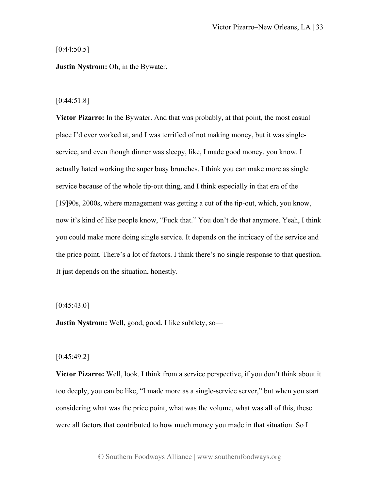$[0:44:50.5]$ 

**Justin Nystrom:** Oh, in the Bywater.

## [0:44:51.8]

**Victor Pizarro:** In the Bywater. And that was probably, at that point, the most casual place I'd ever worked at, and I was terrified of not making money, but it was singleservice, and even though dinner was sleepy, like, I made good money, you know. I actually hated working the super busy brunches. I think you can make more as single service because of the whole tip-out thing, and I think especially in that era of the [19]90s, 2000s, where management was getting a cut of the tip-out, which, you know, now it's kind of like people know, "Fuck that." You don't do that anymore. Yeah, I think you could make more doing single service. It depends on the intricacy of the service and the price point. There's a lot of factors. I think there's no single response to that question. It just depends on the situation, honestly.

## $[0:45:43.0]$

**Justin Nystrom:** Well, good, good. I like subtlety, so—

## [0:45:49.2]

**Victor Pizarro:** Well, look. I think from a service perspective, if you don't think about it too deeply, you can be like, "I made more as a single-service server," but when you start considering what was the price point, what was the volume, what was all of this, these were all factors that contributed to how much money you made in that situation. So I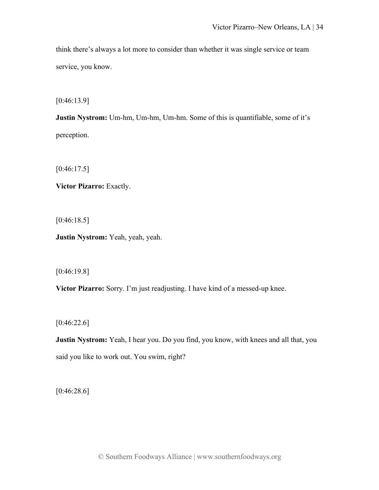think there's always a lot more to consider than whether it was single service or team service, you know.

[0:46:13.9]

**Justin Nystrom:** Um-hm, Um-hm, Um-hm. Some of this is quantifiable, some of it's perception.

 $[0:46:17.5]$ 

**Victor Pizarro:** Exactly.

[0:46:18.5]

**Justin Nystrom:** Yeah, yeah, yeah.

[0:46:19.8]

**Victor Pizarro:** Sorry. I'm just readjusting. I have kind of a messed-up knee.

[0:46:22.6]

**Justin Nystrom:** Yeah, I hear you. Do you find, you know, with knees and all that, you said you like to work out. You swim, right?

[0:46:28.6]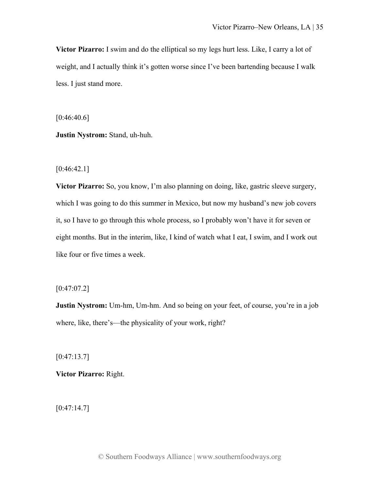**Victor Pizarro:** I swim and do the elliptical so my legs hurt less. Like, I carry a lot of weight, and I actually think it's gotten worse since I've been bartending because I walk less. I just stand more.

[0:46:40.6]

**Justin Nystrom:** Stand, uh-huh.

 $[0:46:42.1]$ 

**Victor Pizarro:** So, you know, I'm also planning on doing, like, gastric sleeve surgery, which I was going to do this summer in Mexico, but now my husband's new job covers it, so I have to go through this whole process, so I probably won't have it for seven or eight months. But in the interim, like, I kind of watch what I eat, I swim, and I work out like four or five times a week.

 $[0:47:07.2]$ 

**Justin Nystrom:** Um-hm, Um-hm. And so being on your feet, of course, you're in a job where, like, there's—the physicality of your work, right?

 $[0:47:13.7]$ 

**Victor Pizarro:** Right.

 $[0:47:14.7]$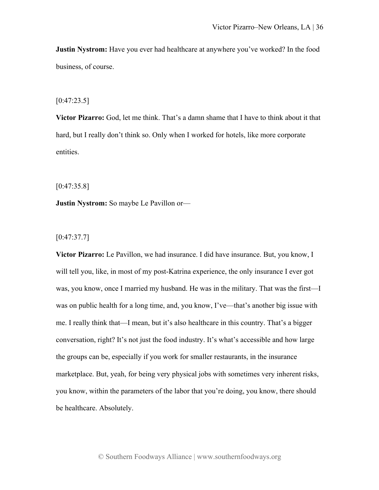**Justin Nystrom:** Have you ever had healthcare at anywhere you've worked? In the food business, of course.

# [0:47:23.5]

**Victor Pizarro:** God, let me think. That's a damn shame that I have to think about it that hard, but I really don't think so. Only when I worked for hotels, like more corporate entities.

[0:47:35.8]

**Justin Nystrom:** So maybe Le Pavillon or—

[0:47:37.7]

**Victor Pizarro:** Le Pavillon, we had insurance. I did have insurance. But, you know, I will tell you, like, in most of my post-Katrina experience, the only insurance I ever got was, you know, once I married my husband. He was in the military. That was the first—I was on public health for a long time, and, you know, I've—that's another big issue with me. I really think that—I mean, but it's also healthcare in this country. That's a bigger conversation, right? It's not just the food industry. It's what's accessible and how large the groups can be, especially if you work for smaller restaurants, in the insurance marketplace. But, yeah, for being very physical jobs with sometimes very inherent risks, you know, within the parameters of the labor that you're doing, you know, there should be healthcare. Absolutely.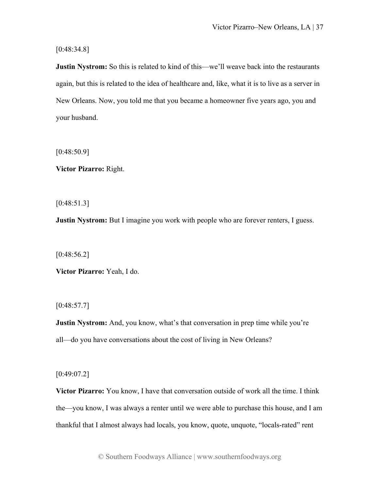[0:48:34.8]

**Justin Nystrom:** So this is related to kind of this—we'll weave back into the restaurants again, but this is related to the idea of healthcare and, like, what it is to live as a server in New Orleans. Now, you told me that you became a homeowner five years ago, you and your husband.

 $[0:48:50.9]$ 

**Victor Pizarro:** Right.

[0:48:51.3]

**Justin Nystrom:** But I imagine you work with people who are forever renters, I guess.

 $[0:48:56.2]$ 

**Victor Pizarro:** Yeah, I do.

 $[0:48:57.7]$ 

**Justin Nystrom:** And, you know, what's that conversation in prep time while you're all—do you have conversations about the cost of living in New Orleans?

[0:49:07.2]

**Victor Pizarro:** You know, I have that conversation outside of work all the time. I think the—you know, I was always a renter until we were able to purchase this house, and I am thankful that I almost always had locals, you know, quote, unquote, "locals-rated" rent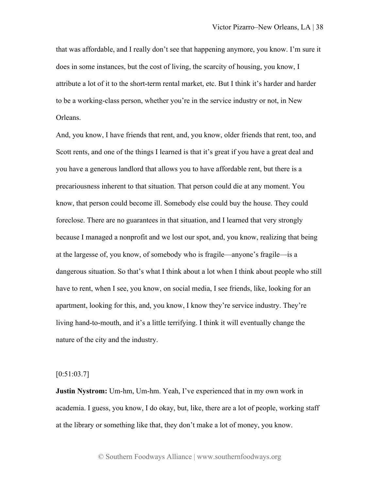that was affordable, and I really don't see that happening anymore, you know. I'm sure it does in some instances, but the cost of living, the scarcity of housing, you know, I attribute a lot of it to the short-term rental market, etc. But I think it's harder and harder to be a working-class person, whether you're in the service industry or not, in New Orleans.

And, you know, I have friends that rent, and, you know, older friends that rent, too, and Scott rents, and one of the things I learned is that it's great if you have a great deal and you have a generous landlord that allows you to have affordable rent, but there is a precariousness inherent to that situation. That person could die at any moment. You know, that person could become ill. Somebody else could buy the house. They could foreclose. There are no guarantees in that situation, and I learned that very strongly because I managed a nonprofit and we lost our spot, and, you know, realizing that being at the largesse of, you know, of somebody who is fragile—anyone's fragile—is a dangerous situation. So that's what I think about a lot when I think about people who still have to rent, when I see, you know, on social media, I see friends, like, looking for an apartment, looking for this, and, you know, I know they're service industry. They're living hand-to-mouth, and it's a little terrifying. I think it will eventually change the nature of the city and the industry.

# $[0:51:03.7]$

**Justin Nystrom:** Um-hm, Um-hm. Yeah, I've experienced that in my own work in academia. I guess, you know, I do okay, but, like, there are a lot of people, working staff at the library or something like that, they don't make a lot of money, you know.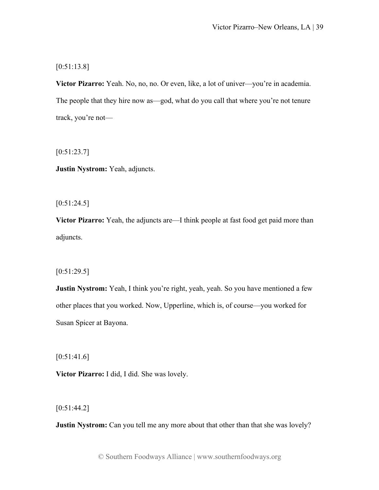[0:51:13.8]

**Victor Pizarro:** Yeah. No, no, no. Or even, like, a lot of univer—you're in academia. The people that they hire now as—god, what do you call that where you're not tenure track, you're not—

 $[0:51:23.7]$ 

**Justin Nystrom:** Yeah, adjuncts.

 $[0:51:24.5]$ 

**Victor Pizarro:** Yeah, the adjuncts are—I think people at fast food get paid more than adjuncts.

 $[0:51:29.5]$ 

**Justin Nystrom:** Yeah, I think you're right, yeah, yeah. So you have mentioned a few other places that you worked. Now, Upperline, which is, of course—you worked for Susan Spicer at Bayona.

 $[0:51:41.6]$ 

**Victor Pizarro:** I did, I did. She was lovely.

 $[0:51:44.2]$ 

**Justin Nystrom:** Can you tell me any more about that other than that she was lovely?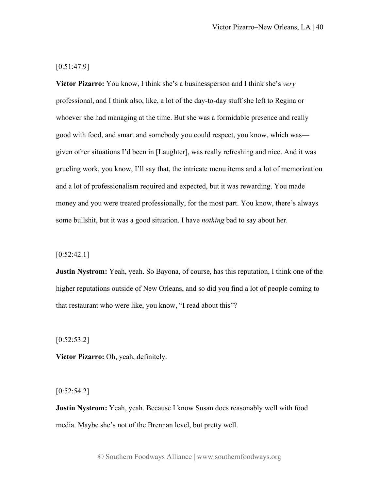$[0:51:47.9]$ 

**Victor Pizarro:** You know, I think she's a businessperson and I think she's *very* professional, and I think also, like, a lot of the day-to-day stuff she left to Regina or whoever she had managing at the time. But she was a formidable presence and really good with food, and smart and somebody you could respect, you know, which was given other situations I'd been in [Laughter], was really refreshing and nice. And it was grueling work, you know, I'll say that, the intricate menu items and a lot of memorization and a lot of professionalism required and expected, but it was rewarding. You made money and you were treated professionally, for the most part. You know, there's always some bullshit, but it was a good situation. I have *nothing* bad to say about her.

 $[0:52:42.1]$ 

**Justin Nystrom:** Yeah, yeah. So Bayona, of course, has this reputation, I think one of the higher reputations outside of New Orleans, and so did you find a lot of people coming to that restaurant who were like, you know, "I read about this"?

 $[0:52:53.2]$ 

**Victor Pizarro:** Oh, yeah, definitely.

 $[0:52:54.2]$ 

**Justin Nystrom:** Yeah, yeah. Because I know Susan does reasonably well with food media. Maybe she's not of the Brennan level, but pretty well.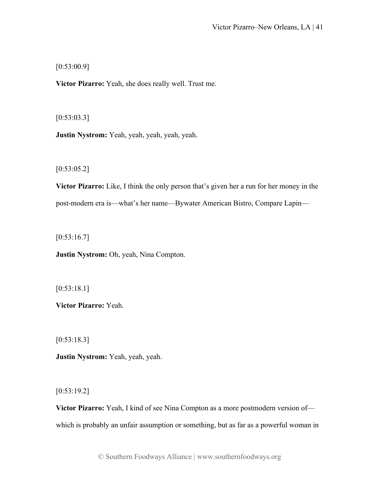$[0:53:00.9]$ 

**Victor Pizarro:** Yeah, she does really well. Trust me.

[0:53:03.3]

**Justin Nystrom:** Yeah, yeah, yeah, yeah, yeah.

 $[0:53:05.2]$ 

**Victor Pizarro:** Like, I think the only person that's given her a run for her money in the post-modern era is—what's her name—Bywater American Bistro, Compare Lapin—

 $[0:53:16.7]$ 

**Justin Nystrom:** Oh, yeah, Nina Compton.

[0:53:18.1]

**Victor Pizarro:** Yeah.

[0:53:18.3]

**Justin Nystrom:** Yeah, yeah, yeah.

 $[0:53:19.2]$ 

**Victor Pizarro:** Yeah, I kind of see Nina Compton as a more postmodern version of which is probably an unfair assumption or something, but as far as a powerful woman in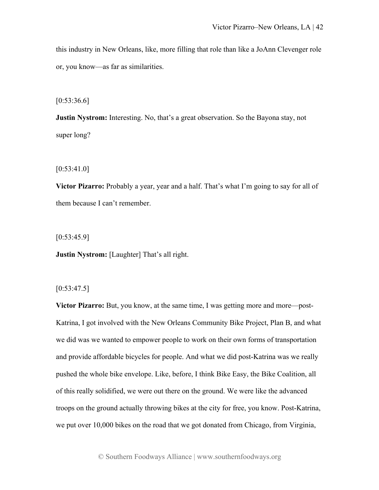this industry in New Orleans, like, more filling that role than like a JoAnn Clevenger role or, you know—as far as similarities.

 $[0:53:36.6]$ 

**Justin Nystrom:** Interesting. No, that's a great observation. So the Bayona stay, not super long?

 $[0:53:41.0]$ 

**Victor Pizarro:** Probably a year, year and a half. That's what I'm going to say for all of them because I can't remember.

 $[0:53:45.9]$ 

**Justin Nystrom:** [Laughter] That's all right.

 $[0:53:47.5]$ 

**Victor Pizarro:** But, you know, at the same time, I was getting more and more—post-Katrina, I got involved with the New Orleans Community Bike Project, Plan B, and what we did was we wanted to empower people to work on their own forms of transportation and provide affordable bicycles for people. And what we did post-Katrina was we really pushed the whole bike envelope. Like, before, I think Bike Easy, the Bike Coalition, all of this really solidified, we were out there on the ground. We were like the advanced troops on the ground actually throwing bikes at the city for free, you know. Post-Katrina, we put over 10,000 bikes on the road that we got donated from Chicago, from Virginia,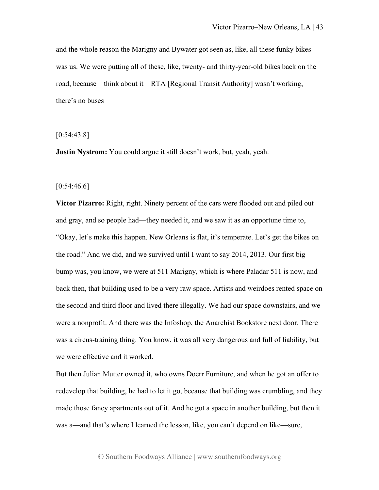and the whole reason the Marigny and Bywater got seen as, like, all these funky bikes was us. We were putting all of these, like, twenty- and thirty-year-old bikes back on the road, because—think about it—RTA [Regional Transit Authority] wasn't working, there's no buses—

[0:54:43.8]

**Justin Nystrom:** You could argue it still doesn't work, but, yeah, yeah.

 $[0:54:46.6]$ 

**Victor Pizarro:** Right, right. Ninety percent of the cars were flooded out and piled out and gray, and so people had—they needed it, and we saw it as an opportune time to, "Okay, let's make this happen. New Orleans is flat, it's temperate. Let's get the bikes on the road." And we did, and we survived until I want to say 2014, 2013. Our first big bump was, you know, we were at 511 Marigny, which is where Paladar 511 is now, and back then, that building used to be a very raw space. Artists and weirdoes rented space on the second and third floor and lived there illegally. We had our space downstairs, and we were a nonprofit. And there was the Infoshop, the Anarchist Bookstore next door. There was a circus-training thing. You know, it was all very dangerous and full of liability, but we were effective and it worked.

But then Julian Mutter owned it, who owns Doerr Furniture, and when he got an offer to redevelop that building, he had to let it go, because that building was crumbling, and they made those fancy apartments out of it. And he got a space in another building, but then it was a—and that's where I learned the lesson, like, you can't depend on like—sure,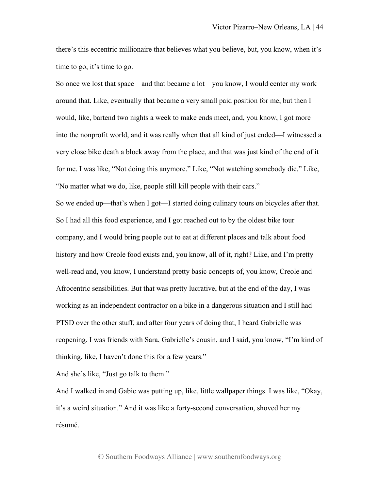there's this eccentric millionaire that believes what you believe, but, you know, when it's time to go, it's time to go.

So once we lost that space—and that became a lot—you know, I would center my work around that. Like, eventually that became a very small paid position for me, but then I would, like, bartend two nights a week to make ends meet, and, you know, I got more into the nonprofit world, and it was really when that all kind of just ended—I witnessed a very close bike death a block away from the place, and that was just kind of the end of it for me. I was like, "Not doing this anymore." Like, "Not watching somebody die." Like, "No matter what we do, like, people still kill people with their cars."

So we ended up—that's when I got—I started doing culinary tours on bicycles after that. So I had all this food experience, and I got reached out to by the oldest bike tour company, and I would bring people out to eat at different places and talk about food history and how Creole food exists and, you know, all of it, right? Like, and I'm pretty well-read and, you know, I understand pretty basic concepts of, you know, Creole and Afrocentric sensibilities. But that was pretty lucrative, but at the end of the day, I was working as an independent contractor on a bike in a dangerous situation and I still had PTSD over the other stuff, and after four years of doing that, I heard Gabrielle was reopening. I was friends with Sara, Gabrielle's cousin, and I said, you know, "I'm kind of thinking, like, I haven't done this for a few years."

And she's like, "Just go talk to them."

And I walked in and Gabie was putting up, like, little wallpaper things. I was like, "Okay, it's a weird situation." And it was like a forty-second conversation, shoved her my résumé.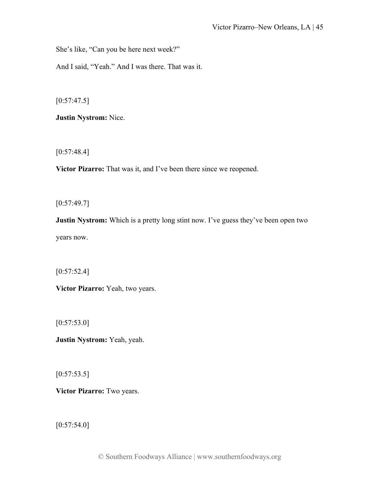She's like, "Can you be here next week?"

And I said, "Yeah." And I was there. That was it.

 $[0:57:47.5]$ 

**Justin Nystrom:** Nice.

[0:57:48.4]

**Victor Pizarro:** That was it, and I've been there since we reopened.

 $[0:57:49.7]$ 

**Justin Nystrom:** Which is a pretty long stint now. I've guess they've been open two years now.

 $[0:57:52.4]$ 

**Victor Pizarro:** Yeah, two years.

 $[0:57:53.0]$ 

**Justin Nystrom:** Yeah, yeah.

 $[0:57:53.5]$ 

**Victor Pizarro:** Two years.

 $[0:57:54.0]$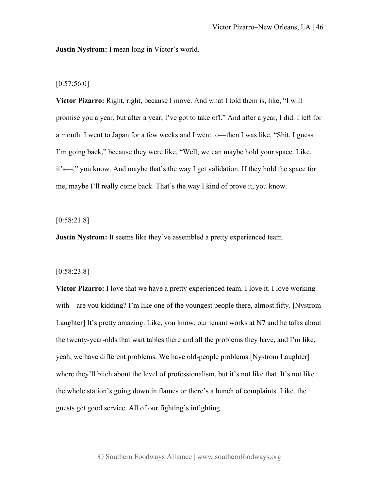**Justin Nystrom:** I mean long in Victor's world.

## $[0:57:56.0]$

**Victor Pizarro:** Right, right, because I move. And what I told them is, like, "I will promise you a year, but after a year, I've got to take off." And after a year, I did. I left for a month. I went to Japan for a few weeks and I went to—then I was like, "Shit, I guess I'm going back," because they were like, "Well, we can maybe hold your space. Like, it's—," you know. And maybe that's the way I get validation. If they hold the space for me, maybe I'll really come back. That's the way I kind of prove it, you know.

#### [0:58:21.8]

**Justin Nystrom:** It seems like they've assembled a pretty experienced team.

#### [0:58:23.8]

**Victor Pizarro:** I love that we have a pretty experienced team. I love it. I love working with—are you kidding? I'm like one of the youngest people there, almost fifty. [Nystrom Laughter] It's pretty amazing. Like, you know, our tenant works at N7 and he talks about the twenty-year-olds that wait tables there and all the problems they have, and I'm like, yeah, we have different problems. We have old-people problems [Nystrom Laughter] where they'll bitch about the level of professionalism, but it's not like that. It's not like the whole station's going down in flames or there's a bunch of complaints. Like, the guests get good service. All of our fighting's infighting.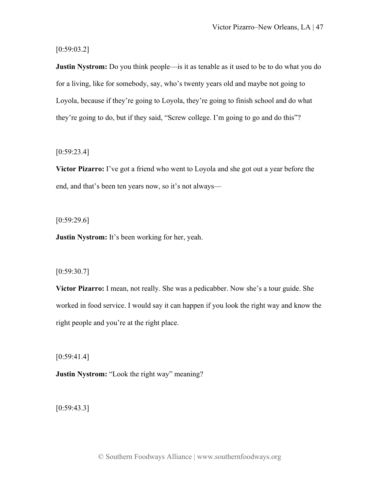$[0:59:03.2]$ 

**Justin Nystrom:** Do you think people—is it as tenable as it used to be to do what you do for a living, like for somebody, say, who's twenty years old and maybe not going to Loyola, because if they're going to Loyola, they're going to finish school and do what they're going to do, but if they said, "Screw college. I'm going to go and do this"?

 $[0:59:23.4]$ 

**Victor Pizarro:** I've got a friend who went to Loyola and she got out a year before the end, and that's been ten years now, so it's not always—

 $[0:59:29.6]$ 

**Justin Nystrom:** It's been working for her, yeah.

## [0:59:30.7]

**Victor Pizarro:** I mean, not really. She was a pedicabber. Now she's a tour guide. She worked in food service. I would say it can happen if you look the right way and know the right people and you're at the right place.

 $[0:59:41.4]$ 

**Justin Nystrom:** "Look the right way" meaning?

 $[0:59:43.3]$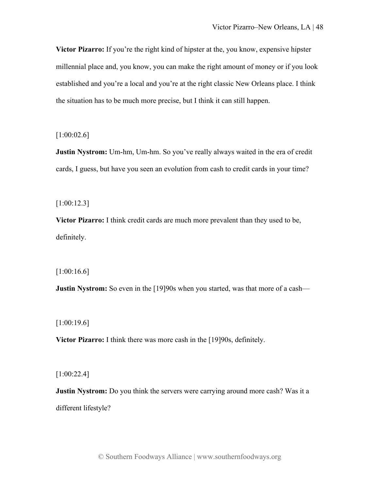**Victor Pizarro:** If you're the right kind of hipster at the, you know, expensive hipster millennial place and, you know, you can make the right amount of money or if you look established and you're a local and you're at the right classic New Orleans place. I think the situation has to be much more precise, but I think it can still happen.

 $[1:00:02.6]$ 

**Justin Nystrom:** Um-hm, Um-hm. So you've really always waited in the era of credit cards, I guess, but have you seen an evolution from cash to credit cards in your time?

[1:00:12.3]

**Victor Pizarro:** I think credit cards are much more prevalent than they used to be, definitely.

[1:00:16.6]

**Justin Nystrom:** So even in the [19]90s when you started, was that more of a cash—

[1:00:19.6]

**Victor Pizarro:** I think there was more cash in the [19]90s, definitely.

[1:00:22.4]

**Justin Nystrom:** Do you think the servers were carrying around more cash? Was it a different lifestyle?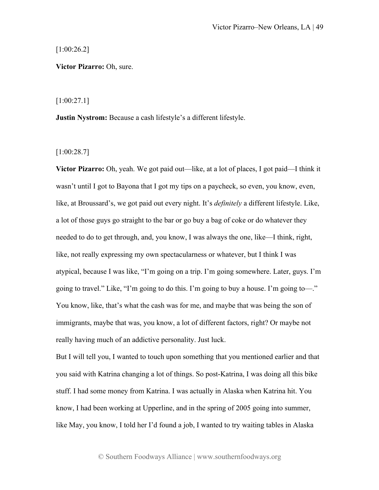[1:00:26.2]

**Victor Pizarro:** Oh, sure.

[1:00:27.1]

**Justin Nystrom:** Because a cash lifestyle's a different lifestyle.

[1:00:28.7]

**Victor Pizarro:** Oh, yeah. We got paid out—like, at a lot of places, I got paid—I think it wasn't until I got to Bayona that I got my tips on a paycheck, so even, you know, even, like, at Broussard's, we got paid out every night. It's *definitely* a different lifestyle. Like, a lot of those guys go straight to the bar or go buy a bag of coke or do whatever they needed to do to get through, and, you know, I was always the one, like—I think, right, like, not really expressing my own spectacularness or whatever, but I think I was atypical, because I was like, "I'm going on a trip. I'm going somewhere. Later, guys. I'm going to travel." Like, "I'm going to do this. I'm going to buy a house. I'm going to—." You know, like, that's what the cash was for me, and maybe that was being the son of immigrants, maybe that was, you know, a lot of different factors, right? Or maybe not really having much of an addictive personality. Just luck.

But I will tell you, I wanted to touch upon something that you mentioned earlier and that you said with Katrina changing a lot of things. So post-Katrina, I was doing all this bike stuff. I had some money from Katrina. I was actually in Alaska when Katrina hit. You know, I had been working at Upperline, and in the spring of 2005 going into summer, like May, you know, I told her I'd found a job, I wanted to try waiting tables in Alaska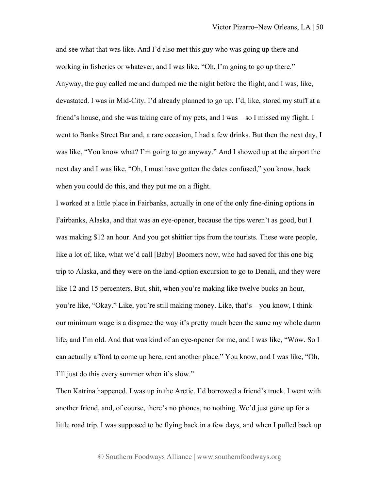and see what that was like. And I'd also met this guy who was going up there and working in fisheries or whatever, and I was like, "Oh, I'm going to go up there." Anyway, the guy called me and dumped me the night before the flight, and I was, like, devastated. I was in Mid-City. I'd already planned to go up. I'd, like, stored my stuff at a friend's house, and she was taking care of my pets, and I was—so I missed my flight. I went to Banks Street Bar and, a rare occasion, I had a few drinks. But then the next day, I was like, "You know what? I'm going to go anyway." And I showed up at the airport the next day and I was like, "Oh, I must have gotten the dates confused," you know, back when you could do this, and they put me on a flight.

I worked at a little place in Fairbanks, actually in one of the only fine-dining options in Fairbanks, Alaska, and that was an eye-opener, because the tips weren't as good, but I was making \$12 an hour. And you got shittier tips from the tourists. These were people, like a lot of, like, what we'd call [Baby] Boomers now, who had saved for this one big trip to Alaska, and they were on the land-option excursion to go to Denali, and they were like 12 and 15 percenters. But, shit, when you're making like twelve bucks an hour, you're like, "Okay." Like, you're still making money. Like, that's—you know, I think our minimum wage is a disgrace the way it's pretty much been the same my whole damn life, and I'm old. And that was kind of an eye-opener for me, and I was like, "Wow. So I can actually afford to come up here, rent another place." You know, and I was like, "Oh, I'll just do this every summer when it's slow."

Then Katrina happened. I was up in the Arctic. I'd borrowed a friend's truck. I went with another friend, and, of course, there's no phones, no nothing. We'd just gone up for a little road trip. I was supposed to be flying back in a few days, and when I pulled back up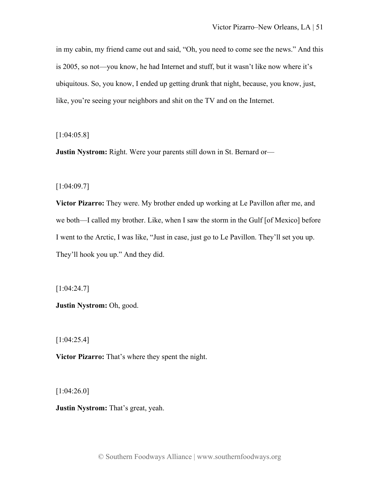in my cabin, my friend came out and said, "Oh, you need to come see the news." And this is 2005, so not—you know, he had Internet and stuff, but it wasn't like now where it's ubiquitous. So, you know, I ended up getting drunk that night, because, you know, just, like, you're seeing your neighbors and shit on the TV and on the Internet.

[1:04:05.8]

**Justin Nystrom:** Right. Were your parents still down in St. Bernard or—

## [1:04:09.7]

**Victor Pizarro:** They were. My brother ended up working at Le Pavillon after me, and we both—I called my brother. Like, when I saw the storm in the Gulf [of Mexico] before I went to the Arctic, I was like, "Just in case, just go to Le Pavillon. They'll set you up. They'll hook you up." And they did.

[1:04:24.7]

**Justin Nystrom:** Oh, good.

[1:04:25.4]

**Victor Pizarro:** That's where they spent the night.

[1:04:26.0]

**Justin Nystrom:** That's great, yeah.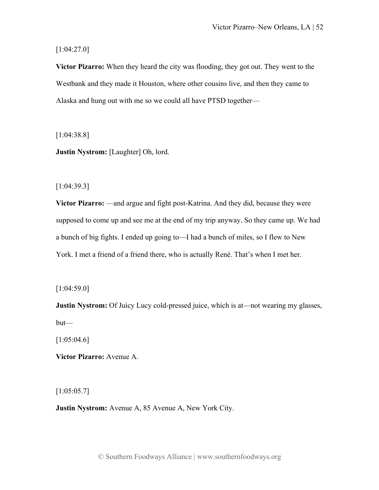[1:04:27.0]

**Victor Pizarro:** When they heard the city was flooding, they got out. They went to the Westbank and they made it Houston, where other cousins live, and then they came to Alaska and hung out with me so we could all have PTSD together—

[1:04:38.8]

**Justin Nystrom:** [Laughter] Oh, lord.

[1:04:39.3]

**Victor Pizarro:** —and argue and fight post-Katrina. And they did, because they were supposed to come up and see me at the end of my trip anyway. So they came up. We had a bunch of big fights. I ended up going to—I had a bunch of miles, so I flew to New York. I met a friend of a friend there, who is actually René. That's when I met her.

[1:04:59.0]

**Justin Nystrom:** Of Juicy Lucy cold-pressed juice, which is at—not wearing my glasses, but—

 $[1:05:04.6]$ 

**Victor Pizarro:** Avenue A.

 $[1:05:05.7]$ 

**Justin Nystrom:** Avenue A, 85 Avenue A, New York City.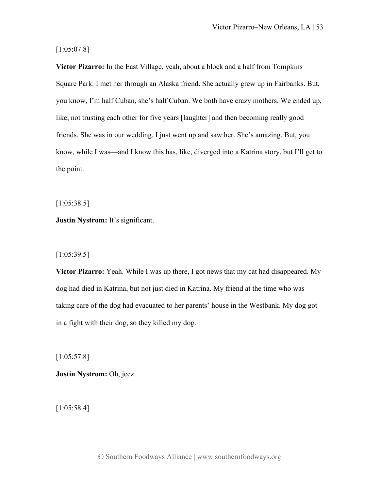# [1:05:07.8]

**Victor Pizarro:** In the East Village, yeah, about a block and a half from Tompkins Square Park. I met her through an Alaska friend. She actually grew up in Fairbanks. But, you know, I'm half Cuban, she's half Cuban. We both have crazy mothers. We ended up, like, not trusting each other for five years [laughter] and then becoming really good friends. She was in our wedding. I just went up and saw her. She's amazing. But, you know, while I was—and I know this has, like, diverged into a Katrina story, but I'll get to the point.

[1:05:38.5]

**Justin Nystrom:** It's significant.

# [1:05:39.5]

**Victor Pizarro:** Yeah. While I was up there, I got news that my cat had disappeared. My dog had died in Katrina, but not just died in Katrina. My friend at the time who was taking care of the dog had evacuated to her parents' house in the Westbank. My dog got in a fight with their dog, so they killed my dog.

[1:05:57.8]

**Justin Nystrom:** Oh, jeez.

[1:05:58.4]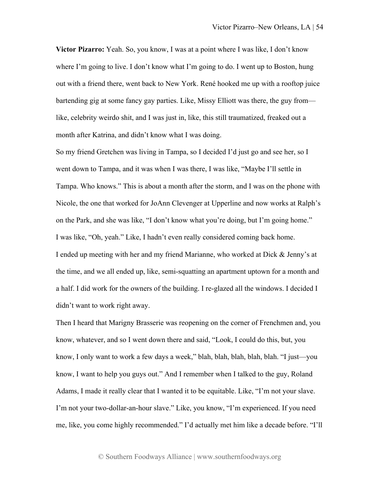**Victor Pizarro:** Yeah. So, you know, I was at a point where I was like, I don't know where I'm going to live. I don't know what I'm going to do. I went up to Boston, hung out with a friend there, went back to New York. René hooked me up with a rooftop juice bartending gig at some fancy gay parties. Like, Missy Elliott was there, the guy from like, celebrity weirdo shit, and I was just in, like, this still traumatized, freaked out a month after Katrina, and didn't know what I was doing.

So my friend Gretchen was living in Tampa, so I decided I'd just go and see her, so I went down to Tampa, and it was when I was there, I was like, "Maybe I'll settle in Tampa. Who knows." This is about a month after the storm, and I was on the phone with Nicole, the one that worked for JoAnn Clevenger at Upperline and now works at Ralph's on the Park, and she was like, "I don't know what you're doing, but I'm going home." I was like, "Oh, yeah." Like, I hadn't even really considered coming back home. I ended up meeting with her and my friend Marianne, who worked at Dick & Jenny's at the time, and we all ended up, like, semi-squatting an apartment uptown for a month and a half. I did work for the owners of the building. I re-glazed all the windows. I decided I didn't want to work right away.

Then I heard that Marigny Brasserie was reopening on the corner of Frenchmen and, you know, whatever, and so I went down there and said, "Look, I could do this, but, you know, I only want to work a few days a week," blah, blah, blah, blah, blah. "I just—you know, I want to help you guys out." And I remember when I talked to the guy, Roland Adams, I made it really clear that I wanted it to be equitable. Like, "I'm not your slave. I'm not your two-dollar-an-hour slave." Like, you know, "I'm experienced. If you need me, like, you come highly recommended." I'd actually met him like a decade before. "I'll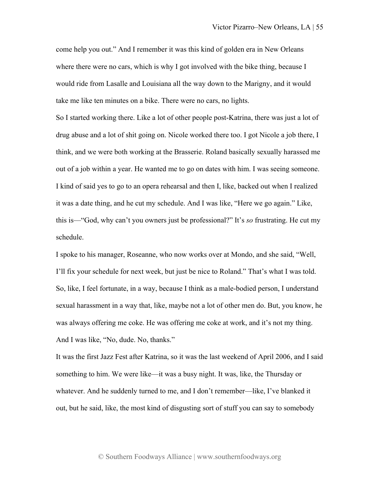come help you out." And I remember it was this kind of golden era in New Orleans where there were no cars, which is why I got involved with the bike thing, because I would ride from Lasalle and Louisiana all the way down to the Marigny, and it would take me like ten minutes on a bike. There were no cars, no lights.

So I started working there. Like a lot of other people post-Katrina, there was just a lot of drug abuse and a lot of shit going on. Nicole worked there too. I got Nicole a job there, I think, and we were both working at the Brasserie. Roland basically sexually harassed me out of a job within a year. He wanted me to go on dates with him. I was seeing someone. I kind of said yes to go to an opera rehearsal and then I, like, backed out when I realized it was a date thing, and he cut my schedule. And I was like, "Here we go again." Like, this is—"God, why can't you owners just be professional?" It's *so* frustrating. He cut my schedule.

I spoke to his manager, Roseanne, who now works over at Mondo, and she said, "Well, I'll fix your schedule for next week, but just be nice to Roland." That's what I was told. So, like, I feel fortunate, in a way, because I think as a male-bodied person, I understand sexual harassment in a way that, like, maybe not a lot of other men do. But, you know, he was always offering me coke. He was offering me coke at work, and it's not my thing. And I was like, "No, dude. No, thanks."

It was the first Jazz Fest after Katrina, so it was the last weekend of April 2006, and I said something to him. We were like—it was a busy night. It was, like, the Thursday or whatever. And he suddenly turned to me, and I don't remember—like, I've blanked it out, but he said, like, the most kind of disgusting sort of stuff you can say to somebody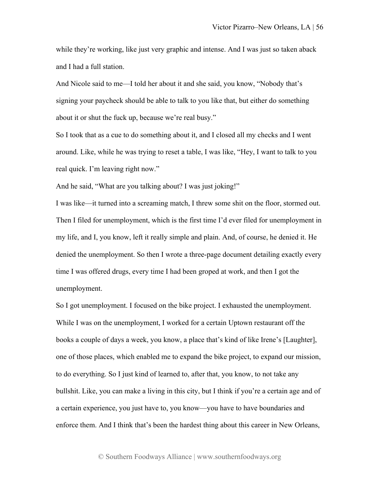while they're working, like just very graphic and intense. And I was just so taken aback and I had a full station.

And Nicole said to me—I told her about it and she said, you know, "Nobody that's signing your paycheck should be able to talk to you like that, but either do something about it or shut the fuck up, because we're real busy."

So I took that as a cue to do something about it, and I closed all my checks and I went around. Like, while he was trying to reset a table, I was like, "Hey, I want to talk to you real quick. I'm leaving right now."

And he said, "What are you talking about? I was just joking!"

I was like—it turned into a screaming match, I threw some shit on the floor, stormed out. Then I filed for unemployment, which is the first time I'd ever filed for unemployment in my life, and I, you know, left it really simple and plain. And, of course, he denied it. He denied the unemployment. So then I wrote a three-page document detailing exactly every time I was offered drugs, every time I had been groped at work, and then I got the unemployment.

So I got unemployment. I focused on the bike project. I exhausted the unemployment. While I was on the unemployment, I worked for a certain Uptown restaurant off the books a couple of days a week, you know, a place that's kind of like Irene's [Laughter], one of those places, which enabled me to expand the bike project, to expand our mission, to do everything. So I just kind of learned to, after that, you know, to not take any bullshit. Like, you can make a living in this city, but I think if you're a certain age and of a certain experience, you just have to, you know—you have to have boundaries and enforce them. And I think that's been the hardest thing about this career in New Orleans,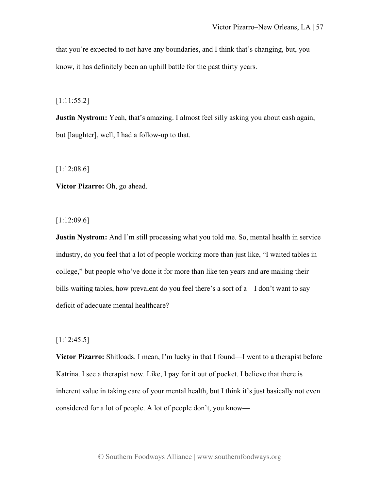that you're expected to not have any boundaries, and I think that's changing, but, you know, it has definitely been an uphill battle for the past thirty years.

[1:11:55.2]

**Justin Nystrom:** Yeah, that's amazing. I almost feel silly asking you about cash again, but [laughter], well, I had a follow-up to that.

[1:12:08.6]

**Victor Pizarro:** Oh, go ahead.

[1:12:09.6]

**Justin Nystrom:** And I'm still processing what you told me. So, mental health in service industry, do you feel that a lot of people working more than just like, "I waited tables in college," but people who've done it for more than like ten years and are making their bills waiting tables, how prevalent do you feel there's a sort of a—I don't want to say deficit of adequate mental healthcare?

# [1:12:45.5]

**Victor Pizarro:** Shitloads. I mean, I'm lucky in that I found—I went to a therapist before Katrina. I see a therapist now. Like, I pay for it out of pocket. I believe that there is inherent value in taking care of your mental health, but I think it's just basically not even considered for a lot of people. A lot of people don't, you know—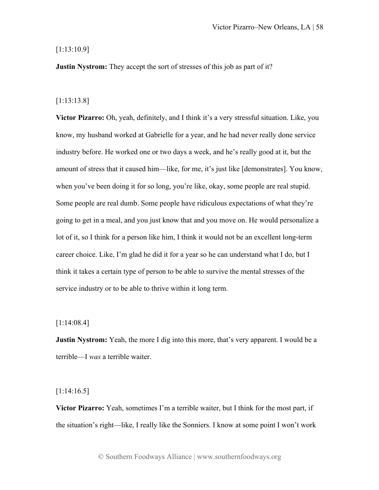# [1:13:10.9]

**Justin Nystrom:** They accept the sort of stresses of this job as part of it?

# [1:13:13.8]

**Victor Pizarro:** Oh, yeah, definitely, and I think it's a very stressful situation. Like, you know, my husband worked at Gabrielle for a year, and he had never really done service industry before. He worked one or two days a week, and he's really good at it, but the amount of stress that it caused him—like, for me, it's just like [demonstrates]. You know, when you've been doing it for so long, you're like, okay, some people are real stupid. Some people are real dumb. Some people have ridiculous expectations of what they're going to get in a meal, and you just know that and you move on. He would personalize a lot of it, so I think for a person like him, I think it would not be an excellent long-term career choice. Like, I'm glad he did it for a year so he can understand what I do, but I think it takes a certain type of person to be able to survive the mental stresses of the service industry or to be able to thrive within it long term.

# [1:14:08.4]

**Justin Nystrom:** Yeah, the more I dig into this more, that's very apparent. I would be a terrible—I *was* a terrible waiter.

# [1:14:16.5]

**Victor Pizarro:** Yeah, sometimes I'm a terrible waiter, but I think for the most part, if the situation's right—like, I really like the Sonniers. I know at some point I won't work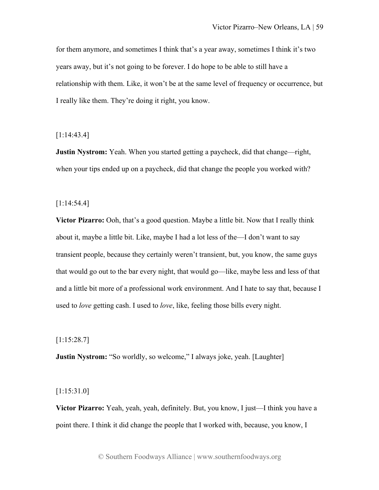for them anymore, and sometimes I think that's a year away, sometimes I think it's two years away, but it's not going to be forever. I do hope to be able to still have a relationship with them. Like, it won't be at the same level of frequency or occurrence, but I really like them. They're doing it right, you know.

[1:14:43.4]

**Justin Nystrom:** Yeah. When you started getting a paycheck, did that change—right, when your tips ended up on a paycheck, did that change the people you worked with?

[1:14:54.4]

**Victor Pizarro:** Ooh, that's a good question. Maybe a little bit. Now that I really think about it, maybe a little bit. Like, maybe I had a lot less of the—I don't want to say transient people, because they certainly weren't transient, but, you know, the same guys that would go out to the bar every night, that would go—like, maybe less and less of that and a little bit more of a professional work environment. And I hate to say that, because I used to *love* getting cash. I used to *love*, like, feeling those bills every night.

[1:15:28.7]

**Justin Nystrom:** "So worldly, so welcome," I always joke, yeah. [Laughter]

[1:15:31.0]

**Victor Pizarro:** Yeah, yeah, yeah, definitely. But, you know, I just—I think you have a point there. I think it did change the people that I worked with, because, you know, I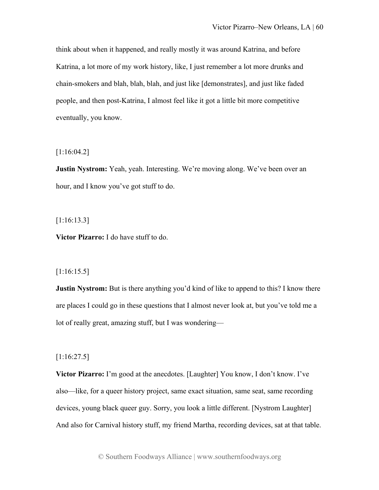think about when it happened, and really mostly it was around Katrina, and before Katrina, a lot more of my work history, like, I just remember a lot more drunks and chain-smokers and blah, blah, blah, and just like [demonstrates], and just like faded people, and then post-Katrina, I almost feel like it got a little bit more competitive eventually, you know.

# [1:16:04.2]

**Justin Nystrom:** Yeah, yeah. Interesting. We're moving along. We've been over an hour, and I know you've got stuff to do.

# [1:16:13.3]

**Victor Pizarro:** I do have stuff to do.

# [1:16:15.5]

**Justin Nystrom:** But is there anything you'd kind of like to append to this? I know there are places I could go in these questions that I almost never look at, but you've told me a lot of really great, amazing stuff, but I was wondering—

# [1:16:27.5]

**Victor Pizarro:** I'm good at the anecdotes. [Laughter] You know, I don't know. I've also—like, for a queer history project, same exact situation, same seat, same recording devices, young black queer guy. Sorry, you look a little different. [Nystrom Laughter] And also for Carnival history stuff, my friend Martha, recording devices, sat at that table.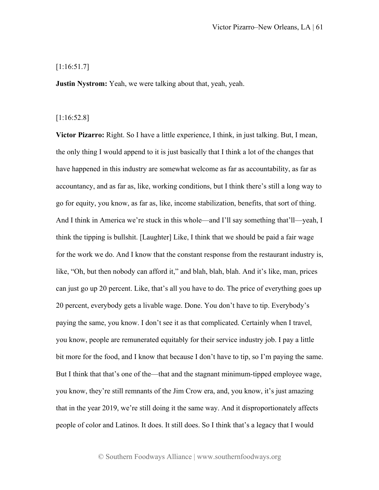# [1:16:51.7]

**Justin Nystrom:** Yeah, we were talking about that, yeah, yeah.

# [1:16:52.8]

**Victor Pizarro:** Right. So I have a little experience, I think, in just talking. But, I mean, the only thing I would append to it is just basically that I think a lot of the changes that have happened in this industry are somewhat welcome as far as accountability, as far as accountancy, and as far as, like, working conditions, but I think there's still a long way to go for equity, you know, as far as, like, income stabilization, benefits, that sort of thing. And I think in America we're stuck in this whole—and I'll say something that'll—yeah, I think the tipping is bullshit. [Laughter] Like, I think that we should be paid a fair wage for the work we do. And I know that the constant response from the restaurant industry is, like, "Oh, but then nobody can afford it," and blah, blah, blah. And it's like, man, prices can just go up 20 percent. Like, that's all you have to do. The price of everything goes up 20 percent, everybody gets a livable wage. Done. You don't have to tip. Everybody's paying the same, you know. I don't see it as that complicated. Certainly when I travel, you know, people are remunerated equitably for their service industry job. I pay a little bit more for the food, and I know that because I don't have to tip, so I'm paying the same. But I think that that's one of the—that and the stagnant minimum-tipped employee wage, you know, they're still remnants of the Jim Crow era, and, you know, it's just amazing that in the year 2019, we're still doing it the same way. And it disproportionately affects people of color and Latinos. It does. It still does. So I think that's a legacy that I would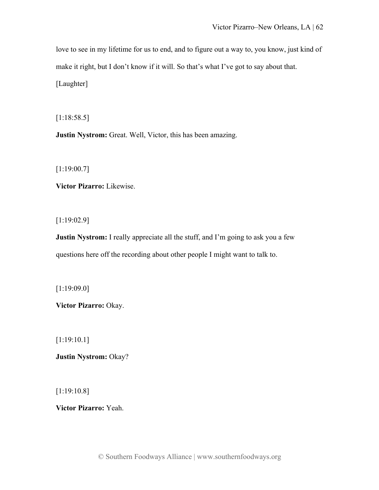love to see in my lifetime for us to end, and to figure out a way to, you know, just kind of make it right, but I don't know if it will. So that's what I've got to say about that. [Laughter]

[1:18:58.5]

**Justin Nystrom:** Great. Well, Victor, this has been amazing.

[1:19:00.7]

**Victor Pizarro:** Likewise.

[1:19:02.9]

**Justin Nystrom:** I really appreciate all the stuff, and I'm going to ask you a few questions here off the recording about other people I might want to talk to.

[1:19:09.0]

**Victor Pizarro:** Okay.

[1:19:10.1]

**Justin Nystrom:** Okay?

[1:19:10.8]

**Victor Pizarro:** Yeah.